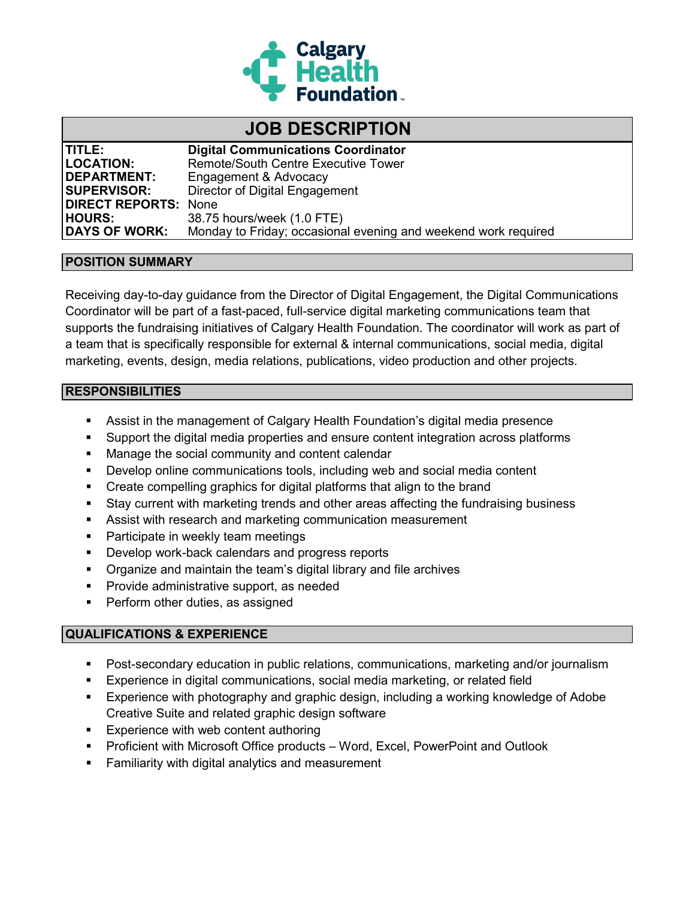

# **JOB DESCRIPTION**

| <b>ITITLE:</b>              | <b>Digital Communications Coordinator</b>                      |
|-----------------------------|----------------------------------------------------------------|
| <b>LOCATION:</b>            | <b>Remote/South Centre Executive Tower</b>                     |
| <b>DEPARTMENT:</b>          | Engagement & Advocacy                                          |
| <b>SUPERVISOR:</b>          | Director of Digital Engagement                                 |
| <b>DIRECT REPORTS: None</b> |                                                                |
| <b>HOURS:</b>               | 38.75 hours/week (1.0 FTE)                                     |
| <b>DAYS OF WORK:</b>        | Monday to Friday; occasional evening and weekend work required |

### **POSITION SUMMARY**

Receiving day-to-day guidance from the Director of Digital Engagement, the Digital Communications Coordinator will be part of a fast-paced, full-service digital marketing communications team that supports the fundraising initiatives of Calgary Health Foundation. The coordinator will work as part of a team that is specifically responsible for external & internal communications, social media, digital marketing, events, design, media relations, publications, video production and other projects.

### **RESPONSIBILITIES**

- Assist in the management of Calgary Health Foundation's digital media presence
- Support the digital media properties and ensure content integration across platforms
- **Manage the social community and content calendar**
- Develop online communications tools, including web and social media content
- Create compelling graphics for digital platforms that align to the brand
- Stay current with marketing trends and other areas affecting the fundraising business
- Assist with research and marketing communication measurement
- **Participate in weekly team meetings**
- **Develop work-back calendars and progress reports**
- Organize and maintain the team's digital library and file archives
- **Provide administrative support, as needed**
- **Perform other duties, as assigned**

## **QUALIFICATIONS & EXPERIENCE**

- Post-secondary education in public relations, communications, marketing and/or journalism
- **Experience in digital communications, social media marketing, or related field**
- Experience with photography and graphic design, including a working knowledge of Adobe Creative Suite and related graphic design software
- **Experience with web content authoring**
- Proficient with Microsoft Office products Word, Excel, PowerPoint and Outlook
- **Familiarity with digital analytics and measurement**